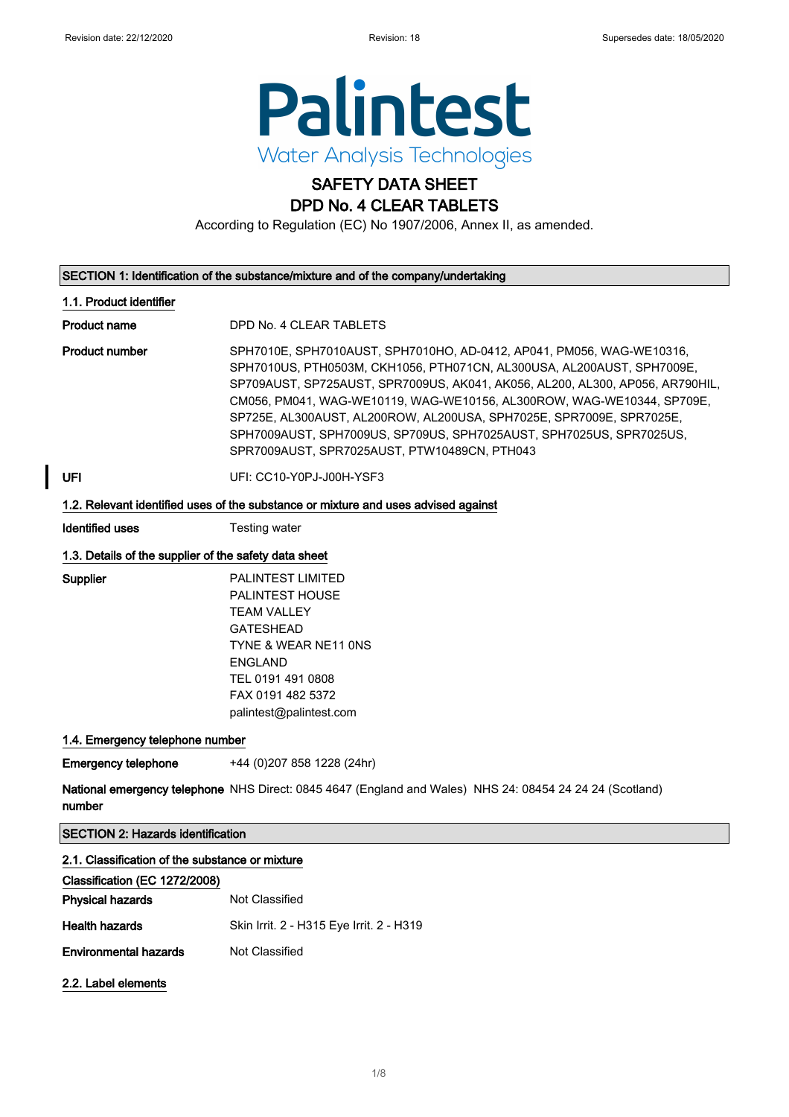Classification (EC 1272/2008)

2.2. Label elements

Physical hazards Not Classified

**Environmental hazards** Not Classified

Health hazards Skin Irrit. 2 - H315 Eye Irrit. 2 - H319



# SAFETY DATA SHEET

DPD No. 4 CLEAR TABLETS

According to Regulation (EC) No 1907/2006, Annex II, as amended.

| SECTION 1: Identification of the substance/mixture and of the company/undertaking  |                                                                                                                                                                                                                                                                                                                                                                                                                                                                                                           |  |
|------------------------------------------------------------------------------------|-----------------------------------------------------------------------------------------------------------------------------------------------------------------------------------------------------------------------------------------------------------------------------------------------------------------------------------------------------------------------------------------------------------------------------------------------------------------------------------------------------------|--|
| 1.1. Product identifier                                                            |                                                                                                                                                                                                                                                                                                                                                                                                                                                                                                           |  |
| <b>Product name</b>                                                                | DPD No. 4 CLEAR TABLETS                                                                                                                                                                                                                                                                                                                                                                                                                                                                                   |  |
| <b>Product number</b>                                                              | SPH7010E, SPH7010AUST, SPH7010HO, AD-0412, AP041, PM056, WAG-WE10316,<br>SPH7010US, PTH0503M, CKH1056, PTH071CN, AL300USA, AL200AUST, SPH7009E,<br>SP709AUST, SP725AUST, SPR7009US, AK041, AK056, AL200, AL300, AP056, AR790HIL,<br>CM056, PM041, WAG-WE10119, WAG-WE10156, AL300ROW, WAG-WE10344, SP709E,<br>SP725E, AL300AUST, AL200ROW, AL200USA, SPH7025E, SPR7009E, SPR7025E,<br>SPH7009AUST, SPH7009US, SP709US, SPH7025AUST, SPH7025US, SPR7025US,<br>SPR7009AUST, SPR7025AUST, PTW10489CN, PTH043 |  |
| UFI                                                                                | UFI: CC10-Y0PJ-J00H-YSF3                                                                                                                                                                                                                                                                                                                                                                                                                                                                                  |  |
| 1.2. Relevant identified uses of the substance or mixture and uses advised against |                                                                                                                                                                                                                                                                                                                                                                                                                                                                                                           |  |
| <b>Identified uses</b>                                                             | Testing water                                                                                                                                                                                                                                                                                                                                                                                                                                                                                             |  |
| 1.3. Details of the supplier of the safety data sheet                              |                                                                                                                                                                                                                                                                                                                                                                                                                                                                                                           |  |
| Supplier                                                                           | <b>PALINTEST LIMITED</b><br>PALINTEST HOUSE<br><b>TEAM VALLEY</b><br><b>GATESHEAD</b><br>TYNE & WEAR NE11 ONS<br><b>ENGLAND</b><br>TEL 0191 491 0808<br>FAX 0191 482 5372<br>palintest@palintest.com                                                                                                                                                                                                                                                                                                      |  |
| 1.4. Emergency telephone number                                                    |                                                                                                                                                                                                                                                                                                                                                                                                                                                                                                           |  |
| <b>Emergency telephone</b>                                                         | +44 (0)207 858 1228 (24hr)                                                                                                                                                                                                                                                                                                                                                                                                                                                                                |  |
| number                                                                             | National emergency telephone NHS Direct: 0845 4647 (England and Wales) NHS 24: 08454 24 24 24 (Scotland)                                                                                                                                                                                                                                                                                                                                                                                                  |  |
| <b>SECTION 2: Hazards identification</b>                                           |                                                                                                                                                                                                                                                                                                                                                                                                                                                                                                           |  |
| 2.1. Classification of the substance or mixture                                    |                                                                                                                                                                                                                                                                                                                                                                                                                                                                                                           |  |

#### 1/ 8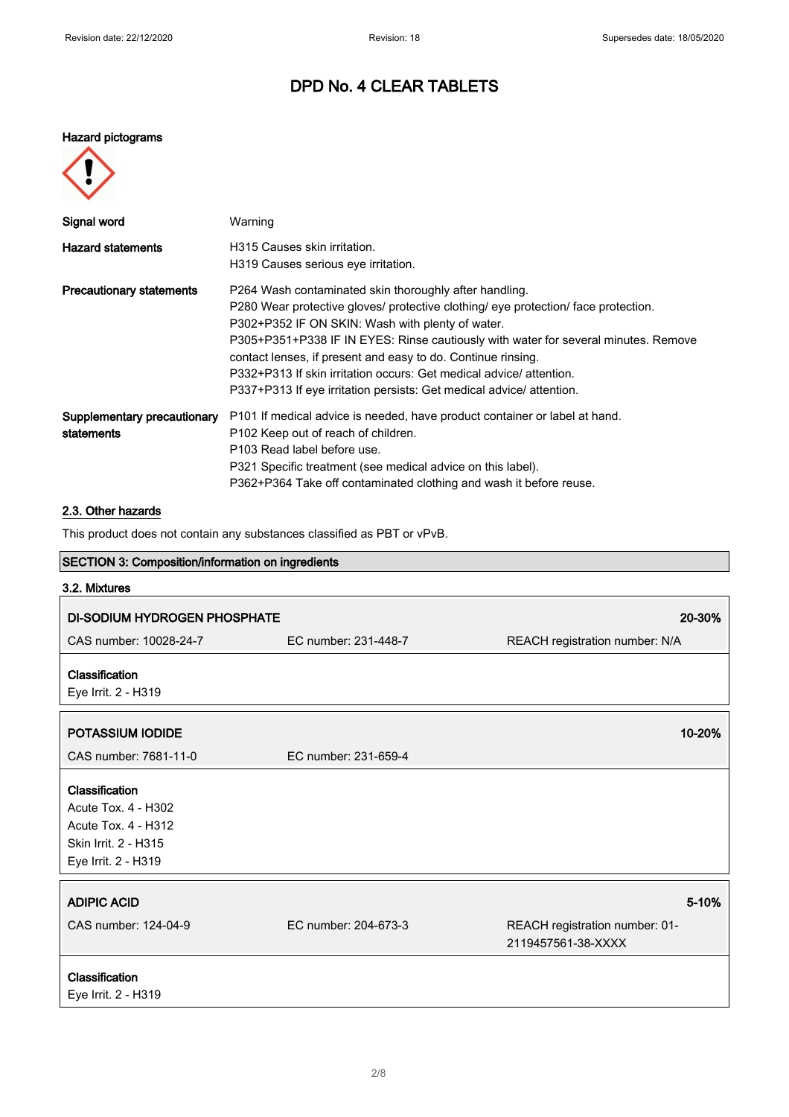#### Hazard pictograms



| Signal word                               | Warning                                                                                                                                                                                                                                                                                                                                                                                                                                                                                              |
|-------------------------------------------|------------------------------------------------------------------------------------------------------------------------------------------------------------------------------------------------------------------------------------------------------------------------------------------------------------------------------------------------------------------------------------------------------------------------------------------------------------------------------------------------------|
| <b>Hazard statements</b>                  | H315 Causes skin irritation.<br>H319 Causes serious eye irritation.                                                                                                                                                                                                                                                                                                                                                                                                                                  |
| <b>Precautionary statements</b>           | P264 Wash contaminated skin thoroughly after handling.<br>P280 Wear protective gloves/ protective clothing/ eye protection/ face protection.<br>P302+P352 IF ON SKIN: Wash with plenty of water.<br>P305+P351+P338 IF IN EYES: Rinse cautiously with water for several minutes. Remove<br>contact lenses, if present and easy to do. Continue rinsing.<br>P332+P313 If skin irritation occurs: Get medical advice/attention.<br>P337+P313 If eye irritation persists: Get medical advice/ attention. |
| Supplementary precautionary<br>statements | P101 If medical advice is needed, have product container or label at hand.<br>P102 Keep out of reach of children.<br>P103 Read label before use.<br>P321 Specific treatment (see medical advice on this label).<br>P362+P364 Take off contaminated clothing and wash it before reuse.                                                                                                                                                                                                                |

### 2.3. Other hazards

This product does not contain any substances classified as PBT or vPvB.

### SECTION 3: Composition/information on ingredients

| 3.2. Mixtures                                                                                                      |                      |                                                               |  |
|--------------------------------------------------------------------------------------------------------------------|----------------------|---------------------------------------------------------------|--|
| <b>DI-SODIUM HYDROGEN PHOSPHATE</b>                                                                                |                      | 20-30%                                                        |  |
| CAS number: 10028-24-7                                                                                             | EC number: 231-448-7 | REACH registration number: N/A                                |  |
| Classification<br>Eye Irrit. 2 - H319                                                                              |                      |                                                               |  |
| POTASSIUM IODIDE                                                                                                   |                      | 10-20%                                                        |  |
| CAS number: 7681-11-0                                                                                              | EC number: 231-659-4 |                                                               |  |
| Classification<br>Acute Tox. 4 - H302<br><b>Acute Tox. 4 - H312</b><br>Skin Irrit. 2 - H315<br>Eye Irrit. 2 - H319 |                      |                                                               |  |
| <b>ADIPIC ACID</b><br>CAS number: 124-04-9                                                                         | EC number: 204-673-3 | 5-10%<br>REACH registration number: 01-<br>2119457561-38-XXXX |  |
| Classification<br>Eye Irrit. 2 - H319                                                                              |                      |                                                               |  |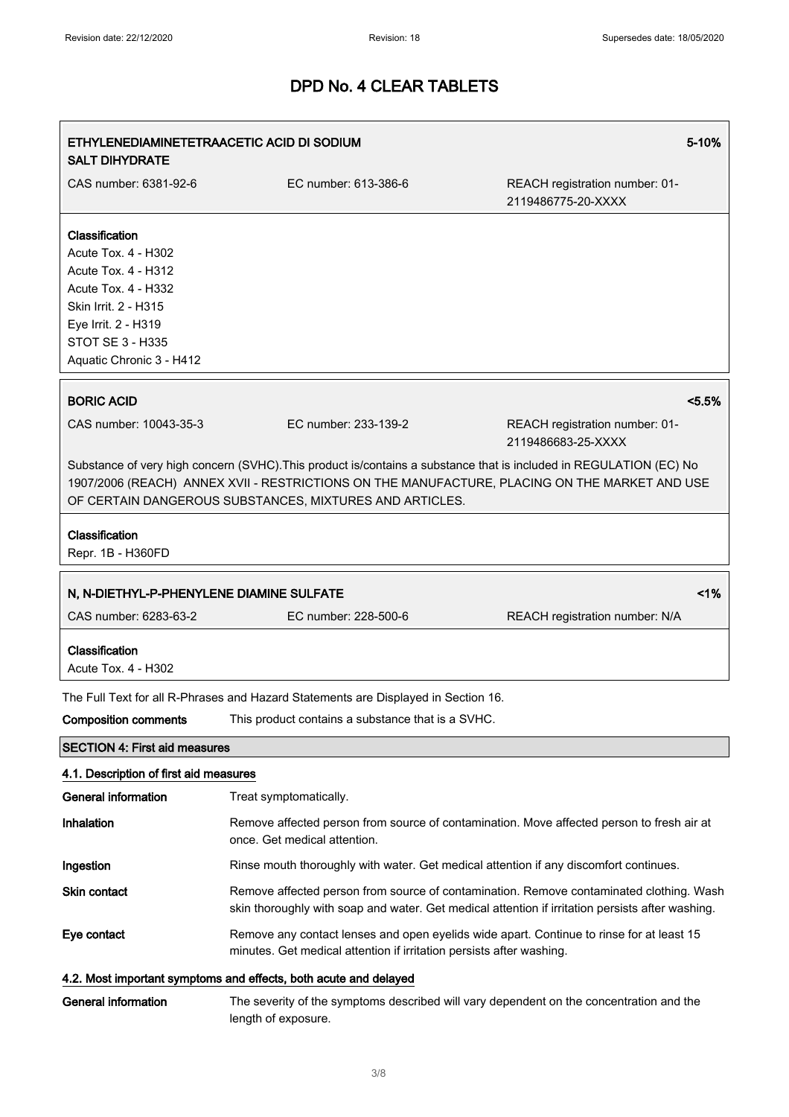| 5-10%<br>ETHYLENEDIAMINETETRAACETIC ACID DI SODIUM<br><b>SALT DIHYDRATE</b>                                                                                                               |                                                                                                                                                                                                                                                                                |                                                                                         |
|-------------------------------------------------------------------------------------------------------------------------------------------------------------------------------------------|--------------------------------------------------------------------------------------------------------------------------------------------------------------------------------------------------------------------------------------------------------------------------------|-----------------------------------------------------------------------------------------|
| CAS number: 6381-92-6                                                                                                                                                                     | EC number: 613-386-6                                                                                                                                                                                                                                                           | REACH registration number: 01-<br>2119486775-20-XXXX                                    |
| Classification<br>Acute Tox. 4 - H302<br>Acute Tox. 4 - H312<br>Acute Tox. 4 - H332<br>Skin Irrit. 2 - H315<br>Eye Irrit. 2 - H319<br><b>STOT SE 3 - H335</b><br>Aquatic Chronic 3 - H412 |                                                                                                                                                                                                                                                                                |                                                                                         |
| <b>BORIC ACID</b>                                                                                                                                                                         |                                                                                                                                                                                                                                                                                | < 5.5%                                                                                  |
| CAS number: 10043-35-3                                                                                                                                                                    | FC number: 233-139-2                                                                                                                                                                                                                                                           | REACH registration number: 01-<br>2119486683-25-XXXX                                    |
|                                                                                                                                                                                           | Substance of very high concern (SVHC). This product is/contains a substance that is included in REGULATION (EC) No<br>1907/2006 (REACH) ANNEX XVII - RESTRICTIONS ON THE MANUFACTURE, PLACING ON THE MARKET AND USE<br>OF CERTAIN DANGEROUS SUBSTANCES, MIXTURES AND ARTICLES. |                                                                                         |
| Classification<br>Repr. 1B - H360FD                                                                                                                                                       |                                                                                                                                                                                                                                                                                |                                                                                         |
| N, N-DIETHYL-P-PHENYLENE DIAMINE SULFATE                                                                                                                                                  |                                                                                                                                                                                                                                                                                | 1%                                                                                      |
| CAS number: 6283-63-2                                                                                                                                                                     | EC number: 228-500-6                                                                                                                                                                                                                                                           | REACH registration number: N/A                                                          |
| Classification<br>Acute Tox. 4 - H302                                                                                                                                                     |                                                                                                                                                                                                                                                                                |                                                                                         |
|                                                                                                                                                                                           | The Full Text for all R-Phrases and Hazard Statements are Displayed in Section 16.                                                                                                                                                                                             |                                                                                         |
| <b>Composition comments</b>                                                                                                                                                               | This product contains a substance that is a SVHC.                                                                                                                                                                                                                              |                                                                                         |
| <b>SECTION 4: First aid measures</b>                                                                                                                                                      |                                                                                                                                                                                                                                                                                |                                                                                         |
| 4.1. Description of first aid measures                                                                                                                                                    |                                                                                                                                                                                                                                                                                |                                                                                         |
| <b>General information</b>                                                                                                                                                                | Treat symptomatically.                                                                                                                                                                                                                                                         |                                                                                         |
| Inhalation                                                                                                                                                                                | Remove affected person from source of contamination. Move affected person to fresh air at<br>once. Get medical attention.                                                                                                                                                      |                                                                                         |
| Ingestion                                                                                                                                                                                 | Rinse mouth thoroughly with water. Get medical attention if any discomfort continues.                                                                                                                                                                                          |                                                                                         |
| <b>Skin contact</b>                                                                                                                                                                       | skin thoroughly with soap and water. Get medical attention if irritation persists after washing.                                                                                                                                                                               | Remove affected person from source of contamination. Remove contaminated clothing. Wash |
| Eye contact                                                                                                                                                                               | Remove any contact lenses and open eyelids wide apart. Continue to rinse for at least 15<br>minutes. Get medical attention if irritation persists after washing.                                                                                                               |                                                                                         |
|                                                                                                                                                                                           | 4.2. Most important symptoms and effects, both acute and delayed                                                                                                                                                                                                               |                                                                                         |
| <b>General information</b>                                                                                                                                                                | The severity of the symptoms described will vary dependent on the concentration and the<br>length of exposure.                                                                                                                                                                 |                                                                                         |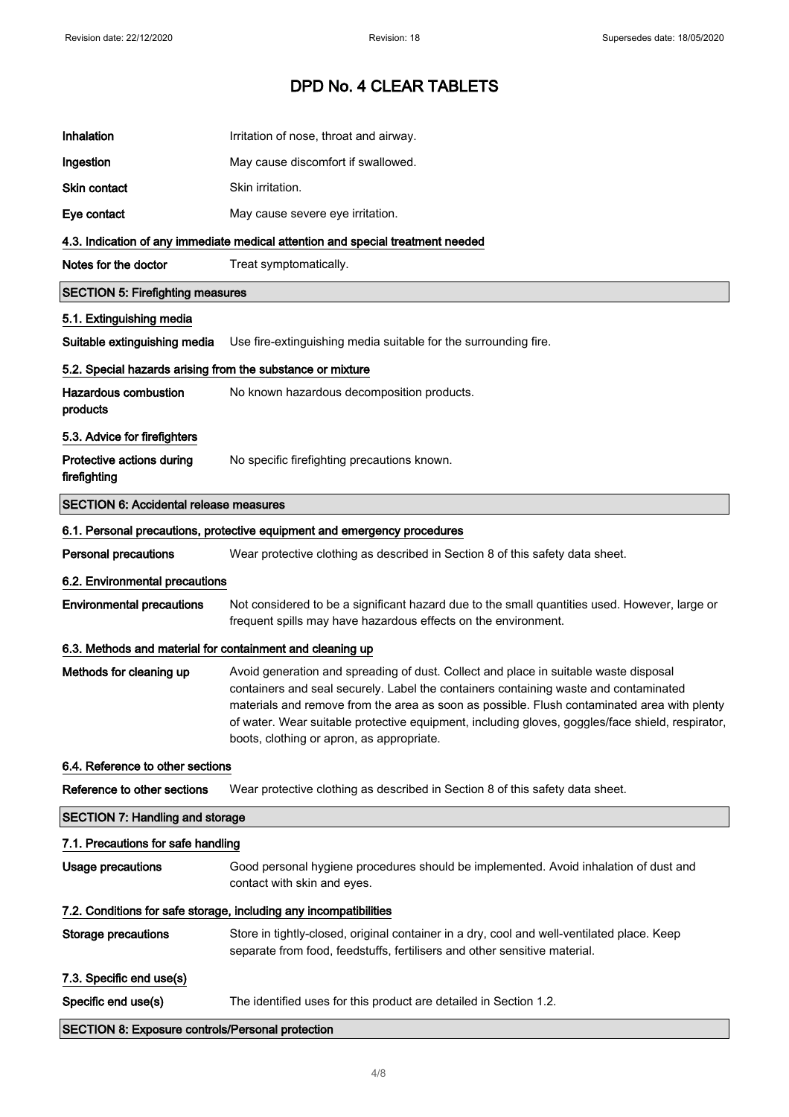| Inhalation                                                        | Irritation of nose, throat and airway.                                                                                                                                                                                                                                                                                                                                                                                       |
|-------------------------------------------------------------------|------------------------------------------------------------------------------------------------------------------------------------------------------------------------------------------------------------------------------------------------------------------------------------------------------------------------------------------------------------------------------------------------------------------------------|
| Ingestion                                                         | May cause discomfort if swallowed.                                                                                                                                                                                                                                                                                                                                                                                           |
| <b>Skin contact</b>                                               | Skin irritation.                                                                                                                                                                                                                                                                                                                                                                                                             |
| Eye contact                                                       | May cause severe eye irritation.                                                                                                                                                                                                                                                                                                                                                                                             |
|                                                                   | 4.3. Indication of any immediate medical attention and special treatment needed                                                                                                                                                                                                                                                                                                                                              |
| Notes for the doctor                                              | Treat symptomatically.                                                                                                                                                                                                                                                                                                                                                                                                       |
| <b>SECTION 5: Firefighting measures</b>                           |                                                                                                                                                                                                                                                                                                                                                                                                                              |
| 5.1. Extinguishing media                                          |                                                                                                                                                                                                                                                                                                                                                                                                                              |
| Suitable extinguishing media                                      | Use fire-extinguishing media suitable for the surrounding fire.                                                                                                                                                                                                                                                                                                                                                              |
| 5.2. Special hazards arising from the substance or mixture        |                                                                                                                                                                                                                                                                                                                                                                                                                              |
| <b>Hazardous combustion</b><br>products                           | No known hazardous decomposition products.                                                                                                                                                                                                                                                                                                                                                                                   |
| 5.3. Advice for firefighters                                      |                                                                                                                                                                                                                                                                                                                                                                                                                              |
| Protective actions during<br>firefighting                         | No specific firefighting precautions known.                                                                                                                                                                                                                                                                                                                                                                                  |
| <b>SECTION 6: Accidental release measures</b>                     |                                                                                                                                                                                                                                                                                                                                                                                                                              |
|                                                                   | 6.1. Personal precautions, protective equipment and emergency procedures                                                                                                                                                                                                                                                                                                                                                     |
| <b>Personal precautions</b>                                       | Wear protective clothing as described in Section 8 of this safety data sheet.                                                                                                                                                                                                                                                                                                                                                |
| 6.2. Environmental precautions                                    |                                                                                                                                                                                                                                                                                                                                                                                                                              |
| <b>Environmental precautions</b>                                  | Not considered to be a significant hazard due to the small quantities used. However, large or<br>frequent spills may have hazardous effects on the environment.                                                                                                                                                                                                                                                              |
| 6.3. Methods and material for containment and cleaning up         |                                                                                                                                                                                                                                                                                                                                                                                                                              |
| Methods for cleaning up                                           | Avoid generation and spreading of dust. Collect and place in suitable waste disposal<br>containers and seal securely. Label the containers containing waste and contaminated<br>materials and remove from the area as soon as possible. Flush contaminated area with plenty<br>of water. Wear suitable protective equipment, including gloves, goggles/face shield, respirator,<br>boots, clothing or apron, as appropriate. |
| 6.4. Reference to other sections                                  |                                                                                                                                                                                                                                                                                                                                                                                                                              |
| Reference to other sections                                       | Wear protective clothing as described in Section 8 of this safety data sheet.                                                                                                                                                                                                                                                                                                                                                |
| <b>SECTION 7: Handling and storage</b>                            |                                                                                                                                                                                                                                                                                                                                                                                                                              |
| 7.1. Precautions for safe handling                                |                                                                                                                                                                                                                                                                                                                                                                                                                              |
| <b>Usage precautions</b>                                          | Good personal hygiene procedures should be implemented. Avoid inhalation of dust and<br>contact with skin and eyes.                                                                                                                                                                                                                                                                                                          |
| 7.2. Conditions for safe storage, including any incompatibilities |                                                                                                                                                                                                                                                                                                                                                                                                                              |
| <b>Storage precautions</b>                                        | Store in tightly-closed, original container in a dry, cool and well-ventilated place. Keep<br>separate from food, feedstuffs, fertilisers and other sensitive material.                                                                                                                                                                                                                                                      |
| 7.3. Specific end use(s)                                          |                                                                                                                                                                                                                                                                                                                                                                                                                              |
| Specific end use(s)                                               | The identified uses for this product are detailed in Section 1.2.                                                                                                                                                                                                                                                                                                                                                            |
| <b>SECTION 8: Exposure controls/Personal protection</b>           |                                                                                                                                                                                                                                                                                                                                                                                                                              |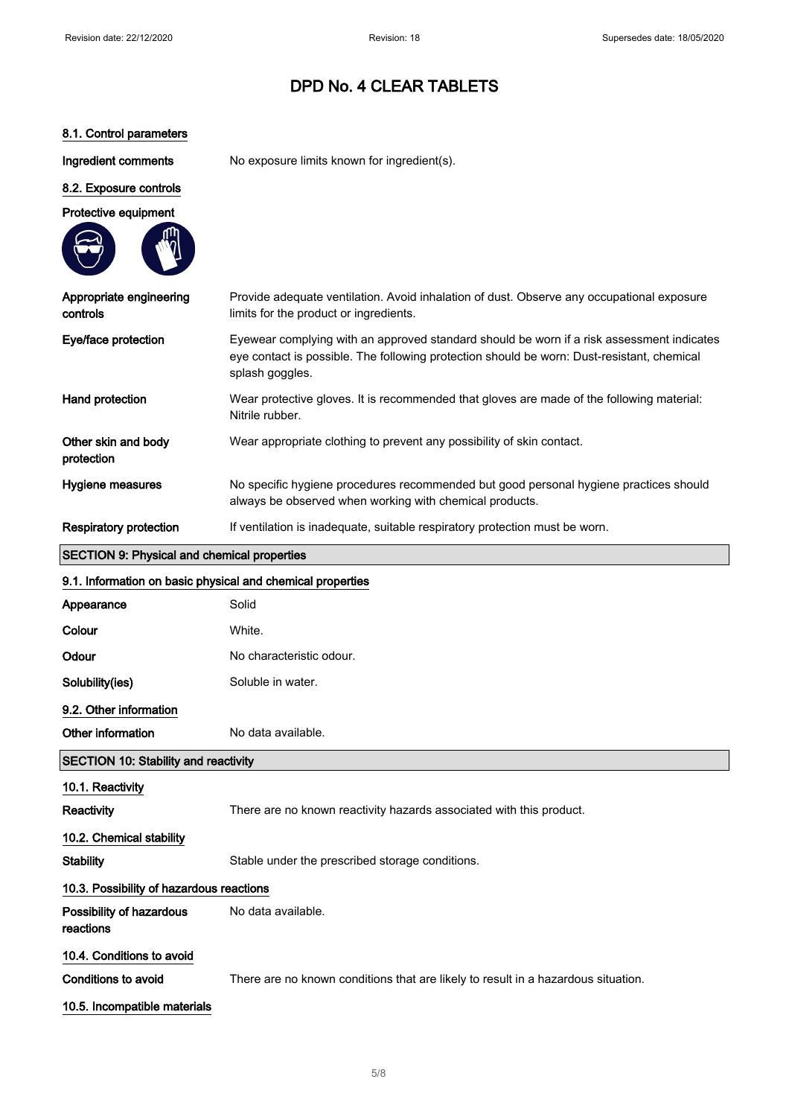### 8.1. Control parameters

Ingredient comments No exposure limits known for ingredient(s).

### 8.2. Exposure controls



| Appropriate engineering<br>controls | Provide adequate ventilation. Avoid inhalation of dust. Observe any occupational exposure<br>limits for the product or ingredients.                                                                        |
|-------------------------------------|------------------------------------------------------------------------------------------------------------------------------------------------------------------------------------------------------------|
| Eye/face protection                 | Eyewear complying with an approved standard should be worn if a risk assessment indicates<br>eye contact is possible. The following protection should be worn: Dust-resistant, chemical<br>splash goggles. |
| Hand protection                     | Wear protective gloves. It is recommended that gloves are made of the following material:<br>Nitrile rubber.                                                                                               |
| Other skin and body<br>protection   | Wear appropriate clothing to prevent any possibility of skin contact.                                                                                                                                      |
| Hygiene measures                    | No specific hygiene procedures recommended but good personal hygiene practices should<br>always be observed when working with chemical products.                                                           |
| <b>Respiratory protection</b>       | If ventilation is inadequate, suitable respiratory protection must be worn.                                                                                                                                |

### SECTION 9: Physical and chemical properties

 $\overline{\phantom{a}}$ 

| 9.1. Information on basic physical and chemical properties |                                                                                   |  |
|------------------------------------------------------------|-----------------------------------------------------------------------------------|--|
| Appearance                                                 | Solid                                                                             |  |
| Colour                                                     | White.                                                                            |  |
| Odour                                                      | No characteristic odour.                                                          |  |
| Solubility(ies)                                            | Soluble in water.                                                                 |  |
| 9.2. Other information                                     |                                                                                   |  |
| Other information                                          | No data available.                                                                |  |
| <b>SECTION 10: Stability and reactivity</b>                |                                                                                   |  |
| 10.1. Reactivity                                           |                                                                                   |  |
| Reactivity                                                 | There are no known reactivity hazards associated with this product.               |  |
| 10.2. Chemical stability                                   |                                                                                   |  |
| <b>Stability</b>                                           | Stable under the prescribed storage conditions.                                   |  |
| 10.3. Possibility of hazardous reactions                   |                                                                                   |  |
| Possibility of hazardous<br>reactions                      | No data available.                                                                |  |
| 10.4. Conditions to avoid                                  |                                                                                   |  |
| <b>Conditions to avoid</b>                                 | There are no known conditions that are likely to result in a hazardous situation. |  |
| 10.5. Incompatible materials                               |                                                                                   |  |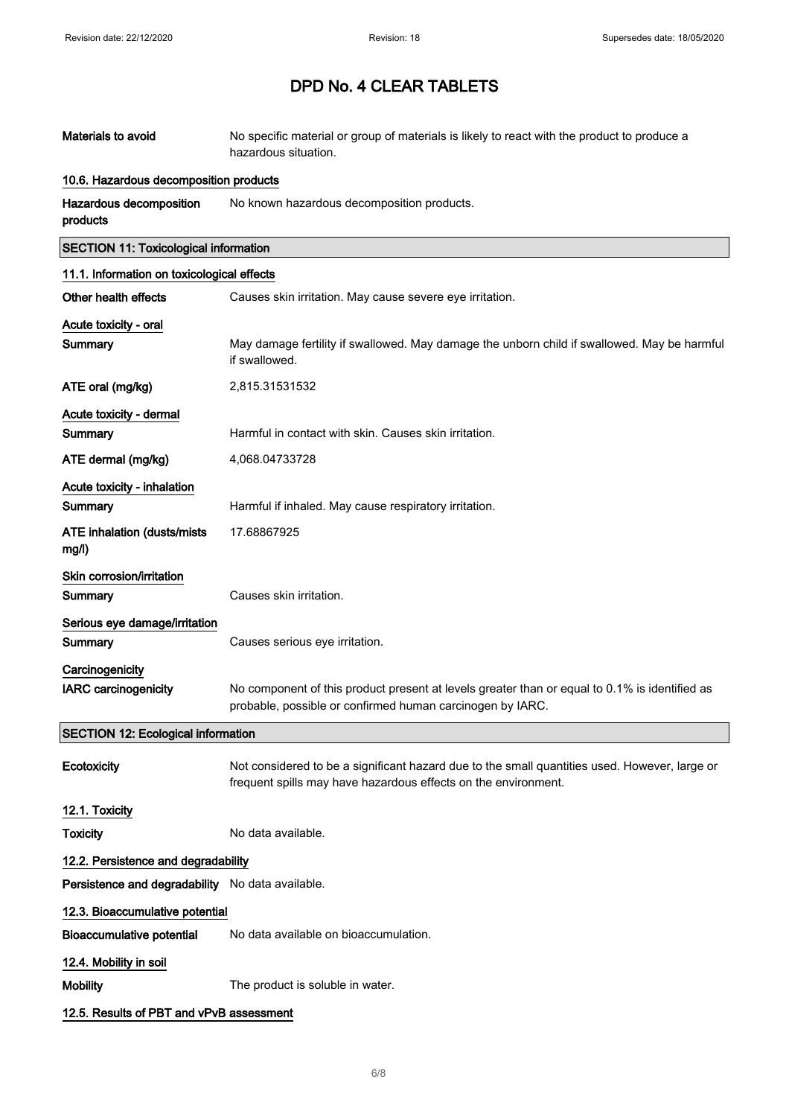| Materials to avoid                               | No specific material or group of materials is likely to react with the product to produce a<br>hazardous situation.                                             |  |
|--------------------------------------------------|-----------------------------------------------------------------------------------------------------------------------------------------------------------------|--|
| 10.6. Hazardous decomposition products           |                                                                                                                                                                 |  |
| Hazardous decomposition<br>products              | No known hazardous decomposition products.                                                                                                                      |  |
| <b>SECTION 11: Toxicological information</b>     |                                                                                                                                                                 |  |
| 11.1. Information on toxicological effects       |                                                                                                                                                                 |  |
| Other health effects                             | Causes skin irritation. May cause severe eye irritation.                                                                                                        |  |
| Acute toxicity - oral                            |                                                                                                                                                                 |  |
| Summary                                          | May damage fertility if swallowed. May damage the unborn child if swallowed. May be harmful<br>if swallowed.                                                    |  |
| ATE oral (mg/kg)                                 | 2,815.31531532                                                                                                                                                  |  |
| Acute toxicity - dermal                          |                                                                                                                                                                 |  |
| Summary                                          | Harmful in contact with skin. Causes skin irritation.                                                                                                           |  |
| ATE dermal (mg/kg)                               | 4,068.04733728                                                                                                                                                  |  |
| Acute toxicity - inhalation                      |                                                                                                                                                                 |  |
| Summary                                          | Harmful if inhaled. May cause respiratory irritation.                                                                                                           |  |
| <b>ATE inhalation (dusts/mists)</b><br>mg/l)     | 17.68867925                                                                                                                                                     |  |
| Skin corrosion/irritation                        |                                                                                                                                                                 |  |
| Summary                                          | Causes skin irritation.                                                                                                                                         |  |
| Serious eye damage/irritation                    |                                                                                                                                                                 |  |
| Summary                                          | Causes serious eye irritation.                                                                                                                                  |  |
| Carcinogenicity                                  |                                                                                                                                                                 |  |
| <b>IARC carcinogenicity</b>                      | No component of this product present at levels greater than or equal to 0.1% is identified as<br>probable, possible or confirmed human carcinogen by IARC.      |  |
| <b>SECTION 12: Ecological information</b>        |                                                                                                                                                                 |  |
| Ecotoxicity                                      | Not considered to be a significant hazard due to the small quantities used. However, large or<br>frequent spills may have hazardous effects on the environment. |  |
| 12.1. Toxicity                                   |                                                                                                                                                                 |  |
| <b>Toxicity</b>                                  | No data available.                                                                                                                                              |  |
| 12.2. Persistence and degradability              |                                                                                                                                                                 |  |
| Persistence and degradability No data available. |                                                                                                                                                                 |  |
| 12.3. Bioaccumulative potential                  |                                                                                                                                                                 |  |
| <b>Bioaccumulative potential</b>                 | No data available on bioaccumulation.                                                                                                                           |  |
| 12.4. Mobility in soil                           |                                                                                                                                                                 |  |
| <b>Mobility</b>                                  | The product is soluble in water.                                                                                                                                |  |
| 12.5. Results of PBT and vPvB assessment         |                                                                                                                                                                 |  |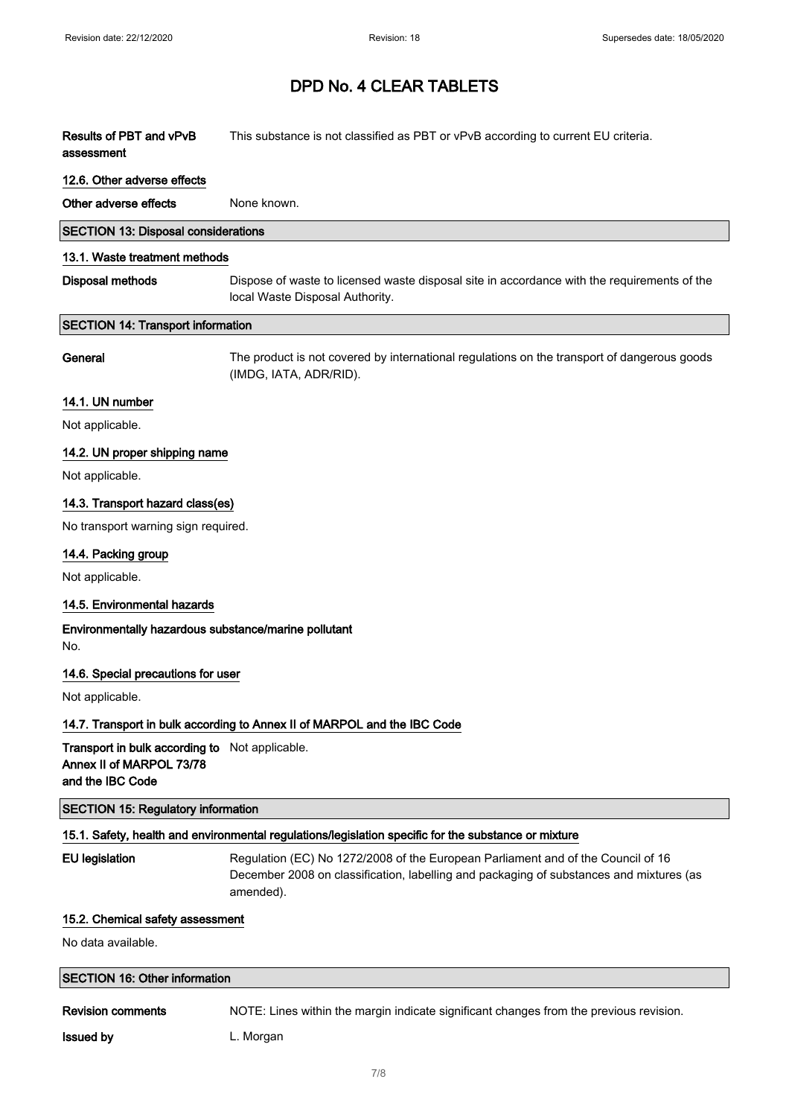Results of PBT and vPvB assessment This substance is not classified as PBT or vPvB according to current EU criteria.

#### 12.6. Other adverse effects

Other adverse effects None known.

| <b>SECTION 13: Disposal considerations</b> |  |
|--------------------------------------------|--|
|--------------------------------------------|--|

#### 13.1. Waste treatment methods

| Disposal methods | Dispose of waste to licensed waste disposal site in accordance with the requirements of the |
|------------------|---------------------------------------------------------------------------------------------|
|                  | local Waste Disposal Authority.                                                             |

#### SECTION 14: Transport information

General The product is not covered by international regulations on the transport of dangerous goods (IMDG, IATA, ADR/RID).

#### 14.1. UN number

Not applicable.

#### 14.2. UN proper shipping name

Not applicable.

### 14.3. Transport hazard class(es)

No transport warning sign required.

#### 14.4. Packing group

Not applicable.

#### 14.5. Environmental hazards

#### Environmentally hazardous substance/marine pollutant No.

#### 14.6. Special precautions for user

Not applicable.

### 14.7. Transport in bulk according to Annex II of MARPOL and the IBC Code

Transport in bulk according to Not applicable. Annex II of MARPOL 73/78 and the IBC Code

#### SECTION 15: Regulatory information

#### 15.1. Safety, health and environmental regulations/legislation specific for the substance or mixture

EU legislation **Regulation (EC) No 1272/2008** of the European Parliament and of the Council of 16 December 2008 on classification, labelling and packaging of substances and mixtures (as amended).

#### 15.2. Chemical safety assessment

No data available.

### SECTION 16: Other information

Revision comments NOTE: Lines within the margin indicate significant changes from the previous revision.

**Issued by Camera L. Morgan**